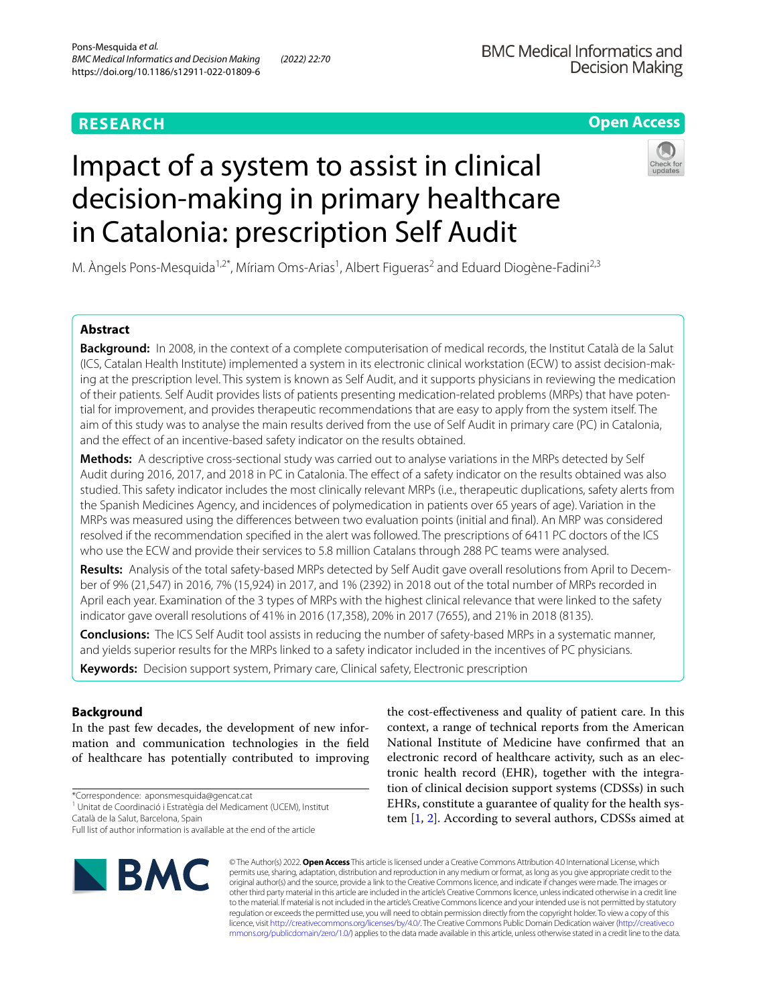# **RESEARCH**

# **BMC Medical Informatics and Decision Making**

# **Open Access**

# Impact of a system to assist in clinical decision-making in primary healthcare in Catalonia: prescription Self Audit



M. Àngels Pons-Mesquida<sup>1,2\*</sup>, Míriam Oms-Arias<sup>1</sup>, Albert Figueras<sup>2</sup> and Eduard Diogène-Fadini<sup>2,3</sup>

# **Abstract**

**Background:** In 2008, in the context of a complete computerisation of medical records, the Institut Català de la Salut (ICS, Catalan Health Institute) implemented a system in its electronic clinical workstation (ECW) to assist decision-mak‑ ing at the prescription level. This system is known as Self Audit, and it supports physicians in reviewing the medication of their patients. Self Audit provides lists of patients presenting medication-related problems (MRPs) that have potential for improvement, and provides therapeutic recommendations that are easy to apply from the system itself. The aim of this study was to analyse the main results derived from the use of Self Audit in primary care (PC) in Catalonia, and the efect of an incentive-based safety indicator on the results obtained.

**Methods:** A descriptive cross-sectional study was carried out to analyse variations in the MRPs detected by Self Audit during 2016, 2017, and 2018 in PC in Catalonia. The efect of a safety indicator on the results obtained was also studied. This safety indicator includes the most clinically relevant MRPs (i.e., therapeutic duplications, safety alerts from the Spanish Medicines Agency, and incidences of polymedication in patients over 65 years of age). Variation in the MRPs was measured using the diferences between two evaluation points (initial and fnal). An MRP was considered resolved if the recommendation specifed in the alert was followed. The prescriptions of 6411 PC doctors of the ICS who use the ECW and provide their services to 5.8 million Catalans through 288 PC teams were analysed.

**Results:** Analysis of the total safety-based MRPs detected by Self Audit gave overall resolutions from April to Decem‑ ber of 9% (21,547) in 2016, 7% (15,924) in 2017, and 1% (2392) in 2018 out of the total number of MRPs recorded in April each year. Examination of the 3 types of MRPs with the highest clinical relevance that were linked to the safety indicator gave overall resolutions of 41% in 2016 (17,358), 20% in 2017 (7655), and 21% in 2018 (8135).

**Conclusions:** The ICS Self Audit tool assists in reducing the number of safety-based MRPs in a systematic manner, and yields superior results for the MRPs linked to a safety indicator included in the incentives of PC physicians.

**Keywords:** Decision support system, Primary care, Clinical safety, Electronic prescription

# **Background**

In the past few decades, the development of new information and communication technologies in the feld of healthcare has potentially contributed to improving

\*Correspondence: aponsmesquida@gencat.cat

1 Unitat de Coordinació i Estratègia del Medicament (UCEM), Institut

Català de la Salut, Barcelona, Spain

Full list of author information is available at the end of the article



the cost-efectiveness and quality of patient care. In this context, a range of technical reports from the American National Institute of Medicine have confrmed that an electronic record of healthcare activity, such as an electronic health record (EHR), together with the integration of clinical decision support systems (CDSSs) in such EHRs, constitute a guarantee of quality for the health system [\[1](#page-10-0), [2](#page-10-1)]. According to several authors, CDSSs aimed at

© The Author(s) 2022. **Open Access** This article is licensed under a Creative Commons Attribution 4.0 International License, which permits use, sharing, adaptation, distribution and reproduction in any medium or format, as long as you give appropriate credit to the original author(s) and the source, provide a link to the Creative Commons licence, and indicate if changes were made. The images or other third party material in this article are included in the article's Creative Commons licence, unless indicated otherwise in a credit line to the material. If material is not included in the article's Creative Commons licence and your intended use is not permitted by statutory regulation or exceeds the permitted use, you will need to obtain permission directly from the copyright holder. To view a copy of this licence, visit [http://creativecommons.org/licenses/by/4.0/.](http://creativecommons.org/licenses/by/4.0/) The Creative Commons Public Domain Dedication waiver ([http://creativeco](http://creativecommons.org/publicdomain/zero/1.0/) [mmons.org/publicdomain/zero/1.0/](http://creativecommons.org/publicdomain/zero/1.0/)) applies to the data made available in this article, unless otherwise stated in a credit line to the data.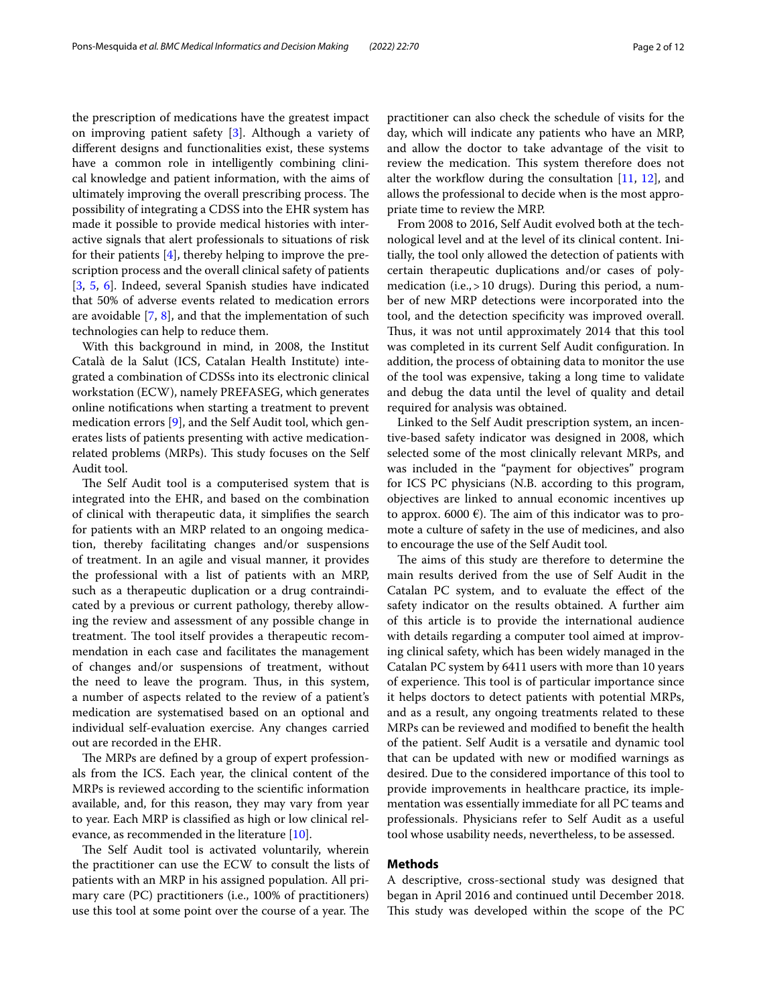the prescription of medications have the greatest impact on improving patient safety [[3\]](#page-10-2). Although a variety of diferent designs and functionalities exist, these systems have a common role in intelligently combining clinical knowledge and patient information, with the aims of ultimately improving the overall prescribing process. The possibility of integrating a CDSS into the EHR system has made it possible to provide medical histories with interactive signals that alert professionals to situations of risk for their patients [\[4](#page-10-3)], thereby helping to improve the prescription process and the overall clinical safety of patients [[3,](#page-10-2) [5,](#page-10-4) [6\]](#page-10-5). Indeed, several Spanish studies have indicated that 50% of adverse events related to medication errors are avoidable [[7,](#page-10-6) [8\]](#page-10-7), and that the implementation of such technologies can help to reduce them.

With this background in mind, in 2008, the Institut Català de la Salut (ICS, Catalan Health Institute) integrated a combination of CDSSs into its electronic clinical workstation (ECW), namely PREFASEG, which generates online notifcations when starting a treatment to prevent medication errors [\[9](#page-11-0)], and the Self Audit tool, which generates lists of patients presenting with active medicationrelated problems (MRPs). This study focuses on the Self Audit tool.

The Self Audit tool is a computerised system that is integrated into the EHR, and based on the combination of clinical with therapeutic data, it simplifes the search for patients with an MRP related to an ongoing medication, thereby facilitating changes and/or suspensions of treatment. In an agile and visual manner, it provides the professional with a list of patients with an MRP, such as a therapeutic duplication or a drug contraindicated by a previous or current pathology, thereby allowing the review and assessment of any possible change in treatment. The tool itself provides a therapeutic recommendation in each case and facilitates the management of changes and/or suspensions of treatment, without the need to leave the program. Thus, in this system, a number of aspects related to the review of a patient's medication are systematised based on an optional and individual self-evaluation exercise. Any changes carried out are recorded in the EHR.

The MRPs are defined by a group of expert professionals from the ICS. Each year, the clinical content of the MRPs is reviewed according to the scientifc information available, and, for this reason, they may vary from year to year. Each MRP is classifed as high or low clinical relevance, as recommended in the literature [\[10](#page-11-1)].

The Self Audit tool is activated voluntarily, wherein the practitioner can use the ECW to consult the lists of patients with an MRP in his assigned population. All primary care (PC) practitioners (i.e., 100% of practitioners) use this tool at some point over the course of a year. The practitioner can also check the schedule of visits for the day, which will indicate any patients who have an MRP, and allow the doctor to take advantage of the visit to review the medication. This system therefore does not alter the workflow during the consultation [\[11](#page-11-2), [12\]](#page-11-3), and allows the professional to decide when is the most appropriate time to review the MRP.

From 2008 to 2016, Self Audit evolved both at the technological level and at the level of its clinical content. Initially, the tool only allowed the detection of patients with certain therapeutic duplications and/or cases of polymedication (i.e.,>10 drugs). During this period, a number of new MRP detections were incorporated into the tool, and the detection specifcity was improved overall. Thus, it was not until approximately 2014 that this tool was completed in its current Self Audit confguration. In addition, the process of obtaining data to monitor the use of the tool was expensive, taking a long time to validate and debug the data until the level of quality and detail required for analysis was obtained.

Linked to the Self Audit prescription system, an incentive-based safety indicator was designed in 2008, which selected some of the most clinically relevant MRPs, and was included in the "payment for objectives" program for ICS PC physicians (N.B. according to this program, objectives are linked to annual economic incentives up to approx. 6000  $\epsilon$ ). The aim of this indicator was to promote a culture of safety in the use of medicines, and also to encourage the use of the Self Audit tool.

The aims of this study are therefore to determine the main results derived from the use of Self Audit in the Catalan PC system, and to evaluate the efect of the safety indicator on the results obtained. A further aim of this article is to provide the international audience with details regarding a computer tool aimed at improving clinical safety, which has been widely managed in the Catalan PC system by 6411 users with more than 10 years of experience. This tool is of particular importance since it helps doctors to detect patients with potential MRPs, and as a result, any ongoing treatments related to these MRPs can be reviewed and modifed to beneft the health of the patient. Self Audit is a versatile and dynamic tool that can be updated with new or modifed warnings as desired. Due to the considered importance of this tool to provide improvements in healthcare practice, its implementation was essentially immediate for all PC teams and professionals. Physicians refer to Self Audit as a useful tool whose usability needs, nevertheless, to be assessed.

# **Methods**

A descriptive, cross-sectional study was designed that began in April 2016 and continued until December 2018. This study was developed within the scope of the PC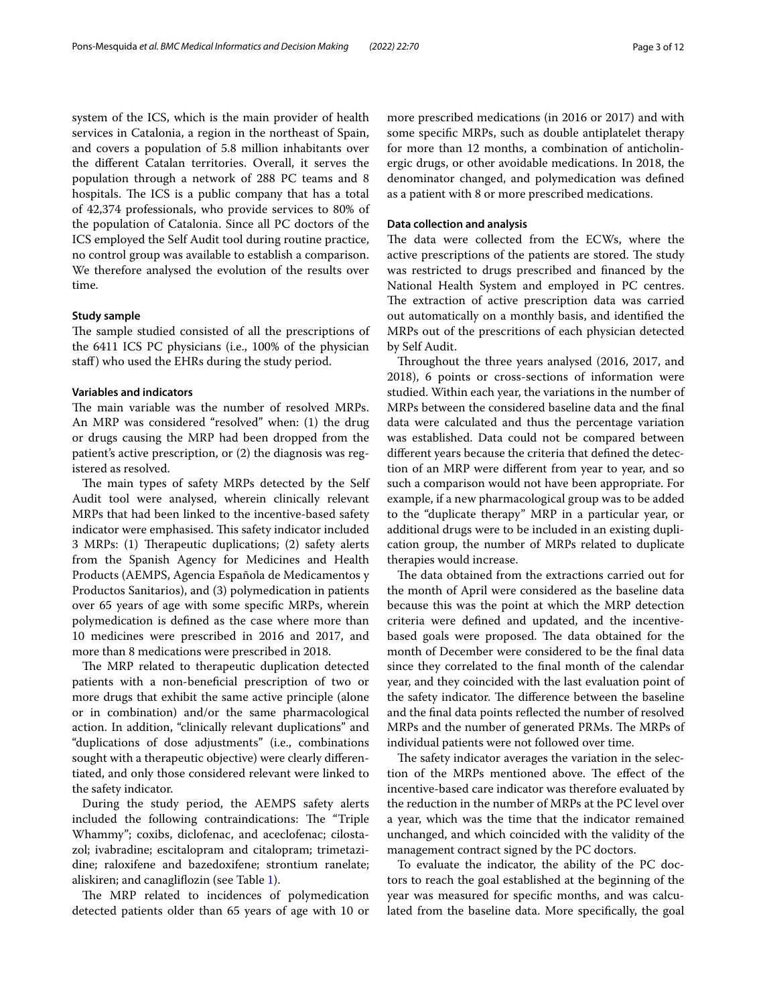system of the ICS, which is the main provider of health services in Catalonia, a region in the northeast of Spain, and covers a population of 5.8 million inhabitants over the diferent Catalan territories. Overall, it serves the population through a network of 288 PC teams and 8 hospitals. The ICS is a public company that has a total of 42,374 professionals, who provide services to 80% of the population of Catalonia. Since all PC doctors of the ICS employed the Self Audit tool during routine practice, no control group was available to establish a comparison. We therefore analysed the evolution of the results over time.

# **Study sample**

The sample studied consisted of all the prescriptions of the 6411 ICS PC physicians (i.e., 100% of the physician staf) who used the EHRs during the study period.

#### **Variables and indicators**

The main variable was the number of resolved MRPs. An MRP was considered "resolved" when: (1) the drug or drugs causing the MRP had been dropped from the patient's active prescription, or (2) the diagnosis was registered as resolved.

The main types of safety MRPs detected by the Self Audit tool were analysed, wherein clinically relevant MRPs that had been linked to the incentive-based safety indicator were emphasised. This safety indicator included 3 MRPs: (1) Therapeutic duplications; (2) safety alerts from the Spanish Agency for Medicines and Health Products (AEMPS, Agencia Española de Medicamentos y Productos Sanitarios), and (3) polymedication in patients over 65 years of age with some specifc MRPs, wherein polymedication is defned as the case where more than 10 medicines were prescribed in 2016 and 2017, and more than 8 medications were prescribed in 2018.

The MRP related to therapeutic duplication detected patients with a non-benefcial prescription of two or more drugs that exhibit the same active principle (alone or in combination) and/or the same pharmacological action. In addition, "clinically relevant duplications" and "duplications of dose adjustments" (i.e., combinations sought with a therapeutic objective) were clearly diferentiated, and only those considered relevant were linked to the safety indicator.

During the study period, the AEMPS safety alerts included the following contraindications: The "Triple Whammy"; coxibs, diclofenac, and aceclofenac; cilostazol; ivabradine; escitalopram and citalopram; trimetazidine; raloxifene and bazedoxifene; strontium ranelate; aliskiren; and canaglifozin (see Table [1](#page-3-0)).

The MRP related to incidences of polymedication detected patients older than 65 years of age with 10 or more prescribed medications (in 2016 or 2017) and with some specifc MRPs, such as double antiplatelet therapy for more than 12 months, a combination of anticholinergic drugs, or other avoidable medications. In 2018, the denominator changed, and polymedication was defned as a patient with 8 or more prescribed medications.

### **Data collection and analysis**

The data were collected from the ECWs, where the active prescriptions of the patients are stored. The study was restricted to drugs prescribed and fnanced by the National Health System and employed in PC centres. The extraction of active prescription data was carried out automatically on a monthly basis, and identifed the MRPs out of the prescritions of each physician detected by Self Audit.

Throughout the three years analysed (2016, 2017, and 2018), 6 points or cross-sections of information were studied. Within each year, the variations in the number of MRPs between the considered baseline data and the fnal data were calculated and thus the percentage variation was established. Data could not be compared between diferent years because the criteria that defned the detection of an MRP were diferent from year to year, and so such a comparison would not have been appropriate. For example, if a new pharmacological group was to be added to the "duplicate therapy" MRP in a particular year, or additional drugs were to be included in an existing duplication group, the number of MRPs related to duplicate therapies would increase.

The data obtained from the extractions carried out for the month of April were considered as the baseline data because this was the point at which the MRP detection criteria were defned and updated, and the incentivebased goals were proposed. The data obtained for the month of December were considered to be the fnal data since they correlated to the fnal month of the calendar year, and they coincided with the last evaluation point of the safety indicator. The difference between the baseline and the fnal data points refected the number of resolved MRPs and the number of generated PRMs. The MRPs of individual patients were not followed over time.

The safety indicator averages the variation in the selection of the MRPs mentioned above. The effect of the incentive-based care indicator was therefore evaluated by the reduction in the number of MRPs at the PC level over a year, which was the time that the indicator remained unchanged, and which coincided with the validity of the management contract signed by the PC doctors.

To evaluate the indicator, the ability of the PC doctors to reach the goal established at the beginning of the year was measured for specifc months, and was calculated from the baseline data. More specifcally, the goal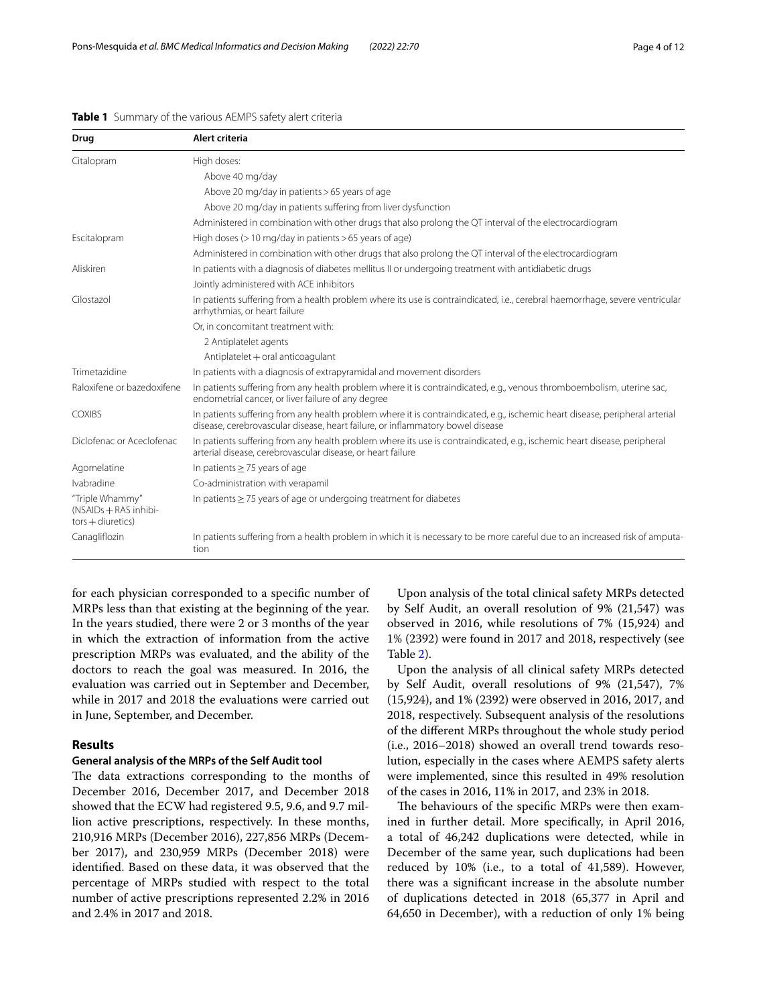| Drug                                                            | Alert criteria                                                                                                                                                                                                 |
|-----------------------------------------------------------------|----------------------------------------------------------------------------------------------------------------------------------------------------------------------------------------------------------------|
| Citalopram                                                      | High doses:                                                                                                                                                                                                    |
|                                                                 | Above 40 mg/day                                                                                                                                                                                                |
|                                                                 | Above 20 mg/day in patients > 65 years of age                                                                                                                                                                  |
|                                                                 | Above 20 mg/day in patients suffering from liver dysfunction                                                                                                                                                   |
|                                                                 | Administered in combination with other drugs that also prolong the QT interval of the electrocardiogram                                                                                                        |
| Escitalopram                                                    | High doses ( $>$ 10 mg/day in patients $>$ 65 years of age)                                                                                                                                                    |
|                                                                 | Administered in combination with other drugs that also prolong the QT interval of the electrocardiogram                                                                                                        |
| Aliskiren                                                       | In patients with a diagnosis of diabetes mellitus II or undergoing treatment with antidiabetic drugs                                                                                                           |
|                                                                 | Jointly administered with ACE inhibitors                                                                                                                                                                       |
| Cilostazol                                                      | In patients suffering from a health problem where its use is contraindicated, i.e., cerebral haemorrhage, severe ventricular<br>arrhythmias, or heart failure                                                  |
|                                                                 | Or, in concomitant treatment with:                                                                                                                                                                             |
|                                                                 | 2 Antiplatelet agents                                                                                                                                                                                          |
|                                                                 | Antiplatelet + oral anticoagulant                                                                                                                                                                              |
| Trimetazidine                                                   | In patients with a diagnosis of extrapyramidal and movement disorders                                                                                                                                          |
| Raloxifene or bazedoxifene                                      | In patients suffering from any health problem where it is contraindicated, e.g., venous thromboembolism, uterine sac,<br>endometrial cancer, or liver failure of any degree                                    |
| <b>COXIBS</b>                                                   | In patients suffering from any health problem where it is contraindicated, e.g., ischemic heart disease, peripheral arterial<br>disease, cerebrovascular disease, heart failure, or inflammatory bowel disease |
| Diclofenac or Aceclofenac                                       | In patients suffering from any health problem where its use is contraindicated, e.g., ischemic heart disease, peripheral<br>arterial disease, cerebrovascular disease, or heart failure                        |
| Agomelatine                                                     | In patients $\geq$ 75 years of age                                                                                                                                                                             |
| Ivabradine                                                      | Co-administration with verapamil                                                                                                                                                                               |
| "Triple Whammy"<br>(NSAIDs + RAS inhibi-<br>$tors + diuretics)$ | In patients $\geq$ 75 years of age or undergoing treatment for diabetes                                                                                                                                        |
| Canagliflozin                                                   | In patients suffering from a health problem in which it is necessary to be more careful due to an increased risk of amputa-<br>tion                                                                            |

#### <span id="page-3-0"></span>**Table 1** Summary of the various AEMPS safety alert criteria

for each physician corresponded to a specifc number of MRPs less than that existing at the beginning of the year. In the years studied, there were 2 or 3 months of the year in which the extraction of information from the active prescription MRPs was evaluated, and the ability of the doctors to reach the goal was measured. In 2016, the evaluation was carried out in September and December, while in 2017 and 2018 the evaluations were carried out in June, September, and December.

## **Results**

## **General analysis of the MRPs of the Self Audit tool**

The data extractions corresponding to the months of December 2016, December 2017, and December 2018 showed that the ECW had registered 9.5, 9.6, and 9.7 million active prescriptions, respectively. In these months, 210,916 MRPs (December 2016), 227,856 MRPs (December 2017), and 230,959 MRPs (December 2018) were identifed. Based on these data, it was observed that the percentage of MRPs studied with respect to the total number of active prescriptions represented 2.2% in 2016 and 2.4% in 2017 and 2018.

Upon analysis of the total clinical safety MRPs detected by Self Audit, an overall resolution of 9% (21,547) was observed in 2016, while resolutions of 7% (15,924) and 1% (2392) were found in 2017 and 2018, respectively (see Table [2](#page-4-0)).

Upon the analysis of all clinical safety MRPs detected by Self Audit, overall resolutions of 9% (21,547), 7% (15,924), and 1% (2392) were observed in 2016, 2017, and 2018, respectively. Subsequent analysis of the resolutions of the diferent MRPs throughout the whole study period (i.e., 2016–2018) showed an overall trend towards resolution, especially in the cases where AEMPS safety alerts were implemented, since this resulted in 49% resolution of the cases in 2016, 11% in 2017, and 23% in 2018.

The behaviours of the specific MRPs were then examined in further detail. More specifcally, in April 2016, a total of 46,242 duplications were detected, while in December of the same year, such duplications had been reduced by 10% (i.e., to a total of 41,589). However, there was a signifcant increase in the absolute number of duplications detected in 2018 (65,377 in April and 64,650 in December), with a reduction of only 1% being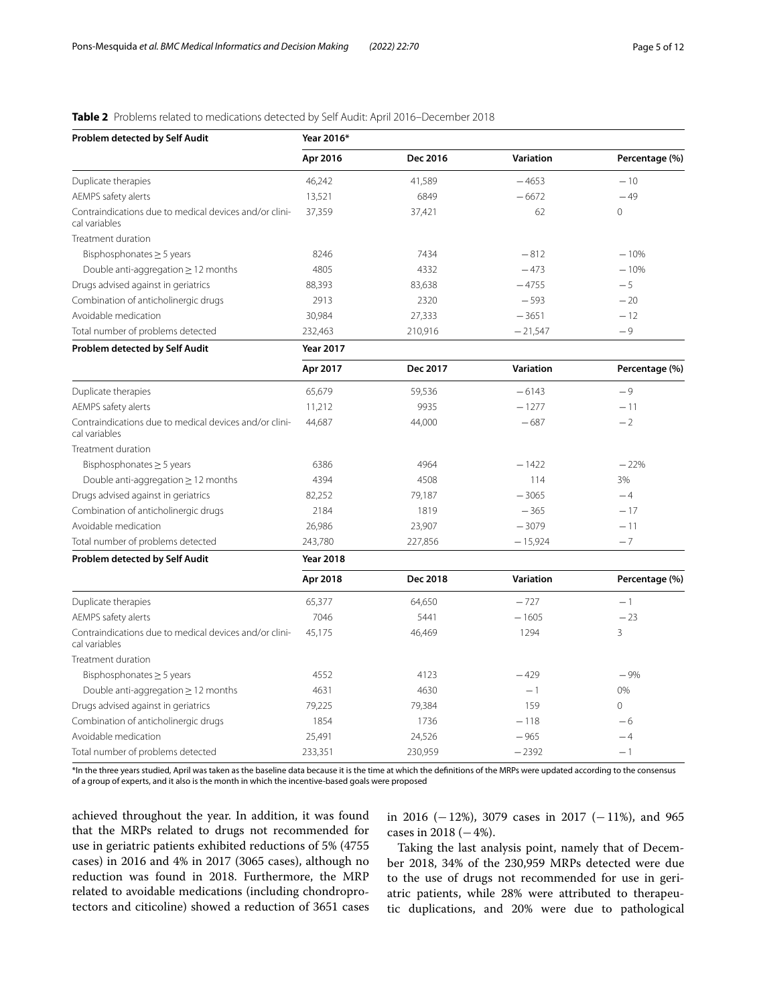# <span id="page-4-0"></span>**Table 2** Problems related to medications detected by Self Audit: April 2016–December 2018

| Problem detected by Self Audit                                          | Year 2016*       |          |                  |                |  |  |  |  |  |
|-------------------------------------------------------------------------|------------------|----------|------------------|----------------|--|--|--|--|--|
|                                                                         | Apr 2016         | Dec 2016 | Variation        | Percentage (%) |  |  |  |  |  |
| Duplicate therapies                                                     | 46,242           | 41,589   | $-4653$          | $-10$          |  |  |  |  |  |
| AEMPS safety alerts                                                     | 13,521           | 6849     | $-6672$          | $-49$          |  |  |  |  |  |
| Contraindications due to medical devices and/or clini-<br>cal variables | 37,359           | 37,421   | 62               | $\Omega$       |  |  |  |  |  |
| Treatment duration                                                      |                  |          |                  |                |  |  |  |  |  |
| Bisphosphonates $\geq$ 5 years                                          | 8246             | 7434     | $-812$           | $-10%$         |  |  |  |  |  |
| Double anti-aggregation $\geq$ 12 months                                | 4805             | 4332     | $-473$           | $-10%$         |  |  |  |  |  |
| Drugs advised against in geriatrics                                     | 88,393           | 83,638   | $-4755$          | $-5$           |  |  |  |  |  |
| Combination of anticholinergic drugs                                    | 2913             | 2320     | $-593$           | $-20$          |  |  |  |  |  |
| Avoidable medication                                                    | 30,984           | 27,333   | $-3651$          | $-12$          |  |  |  |  |  |
| Total number of problems detected                                       | 232,463          | 210,916  | $-21,547$        | $-9$           |  |  |  |  |  |
| Problem detected by Self Audit                                          | <b>Year 2017</b> |          |                  |                |  |  |  |  |  |
|                                                                         | Apr 2017         | Dec 2017 | <b>Variation</b> | Percentage (%) |  |  |  |  |  |
| Duplicate therapies                                                     | 65,679           | 59,536   | $-6143$          | $-9$           |  |  |  |  |  |
| AEMPS safety alerts                                                     | 11,212           | 9935     | $-1277$          | $-11$          |  |  |  |  |  |
| Contraindications due to medical devices and/or clini-<br>cal variables | 44,687           | 44,000   | $-687$           | $-2$           |  |  |  |  |  |
| Treatment duration                                                      |                  |          |                  |                |  |  |  |  |  |
| Bisphosphonates $\geq$ 5 years                                          | 6386             | 4964     | $-1422$          | $-22%$         |  |  |  |  |  |
| Double anti-aggregation $\geq$ 12 months                                | 4394             | 4508     | 114              | 3%             |  |  |  |  |  |
| Drugs advised against in geriatrics                                     | 82,252           | 79,187   | $-3065$          | $-4$           |  |  |  |  |  |
| Combination of anticholinergic drugs                                    | 2184             | 1819     | $-365$           | $-17$          |  |  |  |  |  |
| Avoidable medication                                                    | 26,986           | 23,907   | $-3079$          | $-11$          |  |  |  |  |  |
| Total number of problems detected                                       | 243,780          | 227,856  | $-15,924$        | $-7$           |  |  |  |  |  |
| Problem detected by Self Audit                                          | <b>Year 2018</b> |          |                  |                |  |  |  |  |  |
|                                                                         | Apr 2018         | Dec 2018 | <b>Variation</b> | Percentage (%) |  |  |  |  |  |
| Duplicate therapies                                                     | 65,377           | 64,650   | $-727$           | $-1$           |  |  |  |  |  |
| AEMPS safety alerts                                                     | 7046             | 5441     | $-1605$          | $-23$          |  |  |  |  |  |
| Contraindications due to medical devices and/or clini-<br>cal variables | 45,175           | 46,469   | 1294             | 3              |  |  |  |  |  |
| Treatment duration                                                      |                  |          |                  |                |  |  |  |  |  |
| Bisphosphonates $\geq$ 5 years                                          | 4552             | 4123     | $-429$           | $-9%$          |  |  |  |  |  |
| Double anti-aggregation $\geq$ 12 months                                | 4631             | 4630     | $-1$             | 0%             |  |  |  |  |  |
| Drugs advised against in geriatrics                                     | 79,225           | 79,384   | 159              | $\circ$        |  |  |  |  |  |
| Combination of anticholinergic drugs                                    | 1854             | 1736     | $-118$           | -6             |  |  |  |  |  |
| Avoidable medication                                                    | 25,491           | 24,526   | $-965$           | $-4$           |  |  |  |  |  |
| Total number of problems detected                                       | 233,351          | 230,959  | $-2392$          | $-1$           |  |  |  |  |  |

\*In the three years studied, April was taken as the baseline data because it is the time at which the defnitions of the MRPs were updated according to the consensus of a group of experts, and it also is the month in which the incentive-based goals were proposed

achieved throughout the year. In addition, it was found that the MRPs related to drugs not recommended for use in geriatric patients exhibited reductions of 5% (4755 cases) in 2016 and 4% in 2017 (3065 cases), although no reduction was found in 2018. Furthermore, the MRP related to avoidable medications (including chondroprotectors and citicoline) showed a reduction of 3651 cases in 2016 (−12%), 3079 cases in 2017 (−11%), and 965 cases in 2018  $(-4%)$ .

Taking the last analysis point, namely that of December 2018, 34% of the 230,959 MRPs detected were due to the use of drugs not recommended for use in geriatric patients, while 28% were attributed to therapeutic duplications, and 20% were due to pathological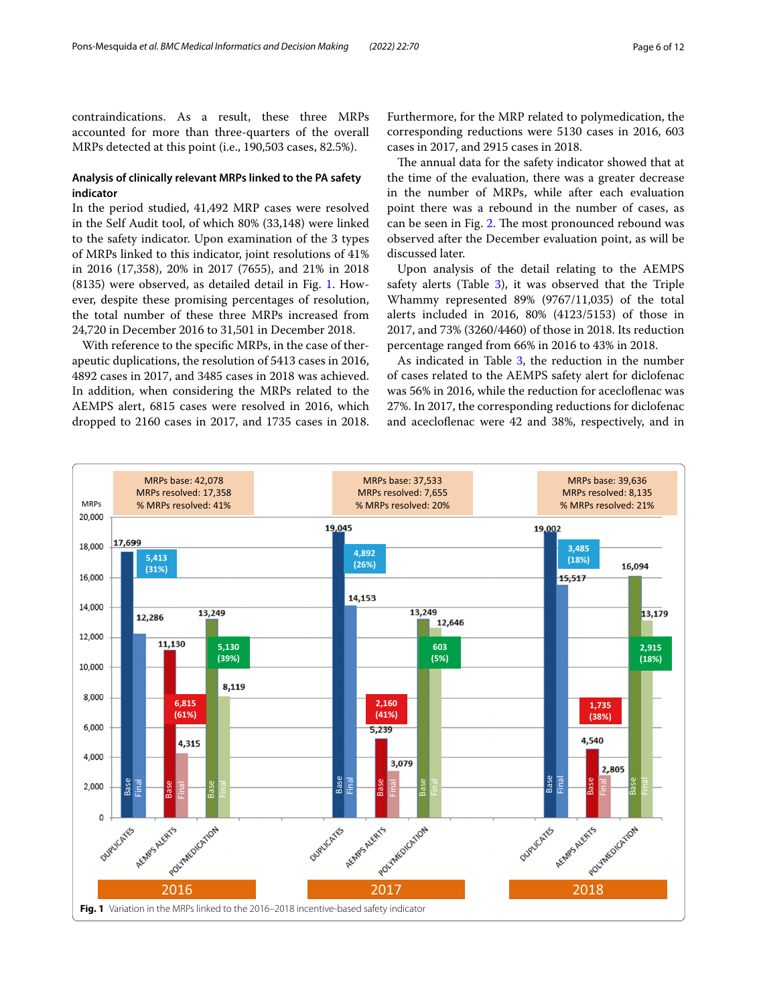contraindications. As a result, these three MRPs accounted for more than three-quarters of the overall MRPs detected at this point (i.e., 190,503 cases, 82.5%).

# **Analysis of clinically relevant MRPs linked to the PA safety indicator**

In the period studied, 41,492 MRP cases were resolved in the Self Audit tool, of which 80% (33,148) were linked to the safety indicator. Upon examination of the 3 types of MRPs linked to this indicator, joint resolutions of 41% in 2016 (17,358), 20% in 2017 (7655), and 21% in 2018 (8135) were observed, as detailed detail in Fig. [1.](#page-5-0) However, despite these promising percentages of resolution, the total number of these three MRPs increased from 24,720 in December 2016 to 31,501 in December 2018.

With reference to the specifc MRPs, in the case of therapeutic duplications, the resolution of 5413 cases in 2016, 4892 cases in 2017, and 3485 cases in 2018 was achieved. In addition, when considering the MRPs related to the AEMPS alert, 6815 cases were resolved in 2016, which dropped to 2160 cases in 2017, and 1735 cases in 2018.

Furthermore, for the MRP related to polymedication, the corresponding reductions were 5130 cases in 2016, 603 cases in 2017, and 2915 cases in 2018.

The annual data for the safety indicator showed that at the time of the evaluation, there was a greater decrease in the number of MRPs, while after each evaluation point there was a rebound in the number of cases, as can be seen in Fig. [2.](#page-6-0) The most pronounced rebound was observed after the December evaluation point, as will be discussed later.

Upon analysis of the detail relating to the AEMPS safety alerts (Table  $3$ ), it was observed that the Triple Whammy represented 89% (9767/11,035) of the total alerts included in 2016, 80% (4123/5153) of those in 2017, and 73% (3260/4460) of those in 2018. Its reduction percentage ranged from 66% in 2016 to 43% in 2018.

As indicated in Table [3](#page-7-0), the reduction in the number of cases related to the AEMPS safety alert for diclofenac was 56% in 2016, while the reduction for acecloflenac was 27%. In 2017, the corresponding reductions for diclofenac and acecloflenac were 42 and 38%, respectively, and in

<span id="page-5-0"></span>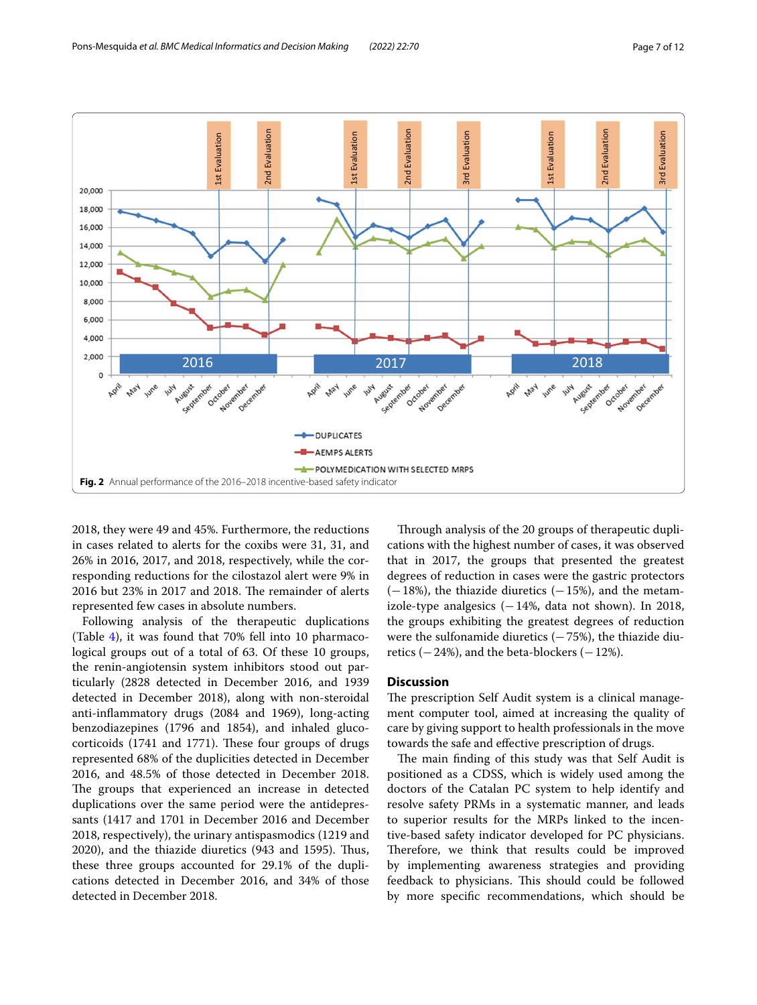

<span id="page-6-0"></span>2018, they were 49 and 45%. Furthermore, the reductions in cases related to alerts for the coxibs were 31, 31, and 26% in 2016, 2017, and 2018, respectively, while the corresponding reductions for the cilostazol alert were 9% in  $2016$  but  $23\%$  in  $2017$  and  $2018$ . The remainder of alerts represented few cases in absolute numbers.

Following analysis of the therapeutic duplications (Table [4\)](#page-8-0), it was found that 70% fell into 10 pharmacological groups out of a total of 63. Of these 10 groups, the renin-angiotensin system inhibitors stood out particularly (2828 detected in December 2016, and 1939 detected in December 2018), along with non-steroidal anti-infammatory drugs (2084 and 1969), long-acting benzodiazepines (1796 and 1854), and inhaled glucocorticoids (1741 and 1771). These four groups of drugs represented 68% of the duplicities detected in December 2016, and 48.5% of those detected in December 2018. The groups that experienced an increase in detected duplications over the same period were the antidepressants (1417 and 1701 in December 2016 and December 2018, respectively), the urinary antispasmodics (1219 and 2020), and the thiazide diuretics (943 and 1595). Thus, these three groups accounted for 29.1% of the duplications detected in December 2016, and 34% of those detected in December 2018.

Through analysis of the 20 groups of therapeutic duplications with the highest number of cases, it was observed that in 2017, the groups that presented the greatest degrees of reduction in cases were the gastric protectors  $(-18%)$ , the thiazide diuretics  $(-15%)$ , and the metamizole-type analgesics  $(-14\%$ , data not shown). In 2018, the groups exhibiting the greatest degrees of reduction were the sulfonamide diuretics  $(-75%)$ , the thiazide diuretics  $(-24%)$ , and the beta-blockers  $(-12%)$ .

#### **Discussion**

The prescription Self Audit system is a clinical management computer tool, aimed at increasing the quality of care by giving support to health professionals in the move towards the safe and efective prescription of drugs.

The main finding of this study was that Self Audit is positioned as a CDSS, which is widely used among the doctors of the Catalan PC system to help identify and resolve safety PRMs in a systematic manner, and leads to superior results for the MRPs linked to the incentive-based safety indicator developed for PC physicians. Therefore, we think that results could be improved by implementing awareness strategies and providing feedback to physicians. This should could be followed by more specifc recommendations, which should be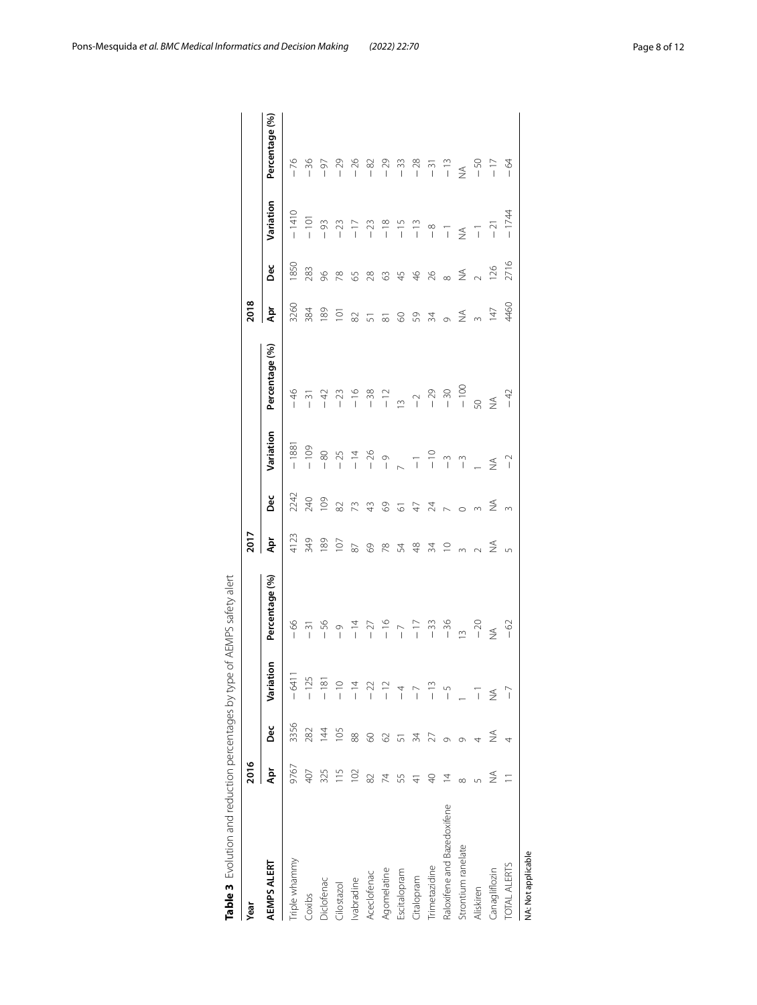| Year                        | 2016      |                |                                                                             |                | 2017                                                                    |                                 |              |                | 2018                                                                                                                                                                                                                                                                                                                                                                                                                               |                                                                                                                                                                                                                                                                                                                                                                                                                       |                                                                                                                                                                                                                                                                                                                                                                                                                                                                                                   |                |
|-----------------------------|-----------|----------------|-----------------------------------------------------------------------------|----------------|-------------------------------------------------------------------------|---------------------------------|--------------|----------------|------------------------------------------------------------------------------------------------------------------------------------------------------------------------------------------------------------------------------------------------------------------------------------------------------------------------------------------------------------------------------------------------------------------------------------|-----------------------------------------------------------------------------------------------------------------------------------------------------------------------------------------------------------------------------------------------------------------------------------------------------------------------------------------------------------------------------------------------------------------------|---------------------------------------------------------------------------------------------------------------------------------------------------------------------------------------------------------------------------------------------------------------------------------------------------------------------------------------------------------------------------------------------------------------------------------------------------------------------------------------------------|----------------|
| AEMPS ALERT                 | Ąpr       | pec            | iation<br>آھ<br>ح                                                           | Percentage (%) | Apr                                                                     | Dec                             | Variation    | Percentage (%) | Ā                                                                                                                                                                                                                                                                                                                                                                                                                                  | Dec                                                                                                                                                                                                                                                                                                                                                                                                                   | Variation                                                                                                                                                                                                                                                                                                                                                                                                                                                                                         | Percentage (%) |
| Triple whammy               | 9767      | 3356           |                                                                             |                |                                                                         | 2242                            | $-1881$      |                | 3260                                                                                                                                                                                                                                                                                                                                                                                                                               | 1850                                                                                                                                                                                                                                                                                                                                                                                                                  | $-1410$                                                                                                                                                                                                                                                                                                                                                                                                                                                                                           |                |
| Coxibs                      | 407       | 282            | $\begin{array}{r} -6411 \\ -125 \\ -181 \\ -181 \\ -191 \\ -22 \end{array}$ | $-66$<br>-31   | 4123<br>349                                                             |                                 |              |                | 384                                                                                                                                                                                                                                                                                                                                                                                                                                | 283                                                                                                                                                                                                                                                                                                                                                                                                                   |                                                                                                                                                                                                                                                                                                                                                                                                                                                                                                   |                |
| Diclofenac                  | 325       | $\overline{4}$ |                                                                             |                |                                                                         |                                 |              |                |                                                                                                                                                                                                                                                                                                                                                                                                                                    |                                                                                                                                                                                                                                                                                                                                                                                                                       |                                                                                                                                                                                                                                                                                                                                                                                                                                                                                                   |                |
| Cilostazol                  | 115       | 105            |                                                                             |                | $\frac{189}{107}$                                                       |                                 |              |                | $189$<br>$101$<br>$82$                                                                                                                                                                                                                                                                                                                                                                                                             |                                                                                                                                                                                                                                                                                                                                                                                                                       |                                                                                                                                                                                                                                                                                                                                                                                                                                                                                                   |                |
| lvabradine                  | 102       | 88             |                                                                             |                |                                                                         |                                 |              |                |                                                                                                                                                                                                                                                                                                                                                                                                                                    |                                                                                                                                                                                                                                                                                                                                                                                                                       |                                                                                                                                                                                                                                                                                                                                                                                                                                                                                                   |                |
| Aceclofenac                 | 82        | 8              |                                                                             |                | $^{69}$                                                                 |                                 |              |                |                                                                                                                                                                                                                                                                                                                                                                                                                                    |                                                                                                                                                                                                                                                                                                                                                                                                                       |                                                                                                                                                                                                                                                                                                                                                                                                                                                                                                   |                |
| Agomelatine                 | 74        | 2              | $\sim$<br>$\overline{1}$                                                    |                | 78<br>54                                                                |                                 |              |                |                                                                                                                                                                                                                                                                                                                                                                                                                                    |                                                                                                                                                                                                                                                                                                                                                                                                                       |                                                                                                                                                                                                                                                                                                                                                                                                                                                                                                   |                |
| Escitalopram                | 55        | 51             | $\frac{4}{1}$                                                               |                |                                                                         |                                 |              |                |                                                                                                                                                                                                                                                                                                                                                                                                                                    |                                                                                                                                                                                                                                                                                                                                                                                                                       |                                                                                                                                                                                                                                                                                                                                                                                                                                                                                                   |                |
| Citalopram                  |           | 34             | ì                                                                           |                | $\frac{8}{4}$                                                           |                                 |              |                |                                                                                                                                                                                                                                                                                                                                                                                                                                    |                                                                                                                                                                                                                                                                                                                                                                                                                       |                                                                                                                                                                                                                                                                                                                                                                                                                                                                                                   |                |
| Trimetazidine               |           |                | $\overline{1}$                                                              |                |                                                                         |                                 |              |                |                                                                                                                                                                                                                                                                                                                                                                                                                                    |                                                                                                                                                                                                                                                                                                                                                                                                                       |                                                                                                                                                                                                                                                                                                                                                                                                                                                                                                   |                |
| Raloxifene and Bazedoxifene | $\bar{4}$ | ᡡ              | $\frac{5}{1}$                                                               |                | $\begin{array}{c} \pi \in \mathbb{R} \\ \pi \in \mathbb{R} \end{array}$ | A D Q M M M Q G G A N N O m Z m |              |                | $\begin{array}{ccccccccc} \mathbb{L} & \mathbb{L} & \mathbb{C} & \mathbb{C} & \mathbb{C} & \mathbb{C} & \mathbb{C} & \mathbb{C} & \mathbb{C} & \mathbb{C} & \mathbb{C} & \mathbb{C} & \mathbb{C} & \mathbb{C} & \mathbb{C} & \mathbb{C} & \mathbb{C} & \mathbb{C} & \mathbb{C} & \mathbb{C} & \mathbb{C} & \mathbb{C} & \mathbb{C} & \mathbb{C} & \mathbb{C} & \mathbb{C} & \mathbb{C} & \mathbb{C} & \mathbb{C} & \mathbb{C} & \$ | $\begin{array}{l} \mathcal{S} \, \, \mathcal{R} \, \, \mathcal{S} \, \, \mathcal{S} \, \, \mathcal{S} \, \, \mathcal{S} \, \, \mathcal{S} \, \, \mathcal{S} \, \, \mathcal{S} \, \, \mathcal{S} \, \, \mathcal{S} \, \, \mathcal{S} \, \, \mathcal{S} \, \, \mathcal{S} \, \, \mathcal{S} \, \, \mathcal{S} \, \, \mathcal{S} \, \, \mathcal{S} \, \, \mathcal{S} \, \, \mathcal{S} \, \, \mathcal{S} \, \, \mathcal$ | $\begin{array}{cccccccccccccc} \overline{C} & \overline{C} & \overline{C} & \overline{C} & \overline{C} & \overline{C} & \overline{C} & \overline{C} & \overline{C} & \overline{C} & \overline{C} & \overline{C} & \overline{C} & \overline{C} & \overline{C} & \overline{C} & \overline{C} & \overline{C} & \overline{C} & \overline{C} & \overline{C} & \overline{C} & \overline{C} & \overline{C} & \overline{C} & \overline{C} & \overline{C} & \overline{C} & \overline{C} & \overline{C} &$ |                |
| Strontium ranelate          |           | Ō              |                                                                             |                |                                                                         |                                 |              |                |                                                                                                                                                                                                                                                                                                                                                                                                                                    |                                                                                                                                                                                                                                                                                                                                                                                                                       |                                                                                                                                                                                                                                                                                                                                                                                                                                                                                                   |                |
| Aliskiren                   |           | 4              | $\overline{1}$                                                              |                |                                                                         |                                 |              |                |                                                                                                                                                                                                                                                                                                                                                                                                                                    |                                                                                                                                                                                                                                                                                                                                                                                                                       |                                                                                                                                                                                                                                                                                                                                                                                                                                                                                                   |                |
| Canagliflozin               | ≸         | ≸              | $\frac{1}{2}$                                                               | $-20$<br>NA    |                                                                         |                                 | $\n  1\n  1$ | $50$<br>$-42$  |                                                                                                                                                                                                                                                                                                                                                                                                                                    |                                                                                                                                                                                                                                                                                                                                                                                                                       | $-21$                                                                                                                                                                                                                                                                                                                                                                                                                                                                                             |                |
| <b>TOTAL ALERTS</b>         |           |                | $\overline{a}$                                                              | $-62$          | $\sqrt{2}$                                                              |                                 |              |                | 460                                                                                                                                                                                                                                                                                                                                                                                                                                | 2716                                                                                                                                                                                                                                                                                                                                                                                                                  | $-1744$                                                                                                                                                                                                                                                                                                                                                                                                                                                                                           |                |
| NA: Not applicable          |           |                |                                                                             |                |                                                                         |                                 |              |                |                                                                                                                                                                                                                                                                                                                                                                                                                                    |                                                                                                                                                                                                                                                                                                                                                                                                                       |                                                                                                                                                                                                                                                                                                                                                                                                                                                                                                   |                |

<span id="page-7-0"></span>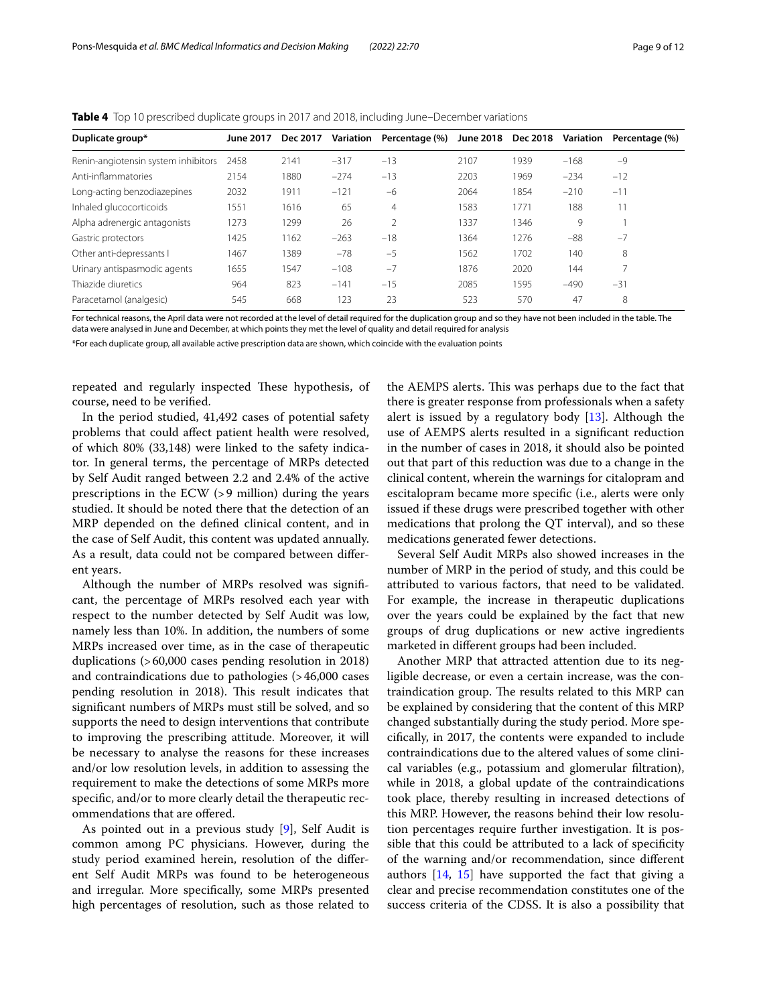| Duplicate group*                    | <b>June 2017</b> | Dec 2017 | Variation | Percentage (%) | June 2018 Dec 2018 |      | Variation | Percentage (%) |
|-------------------------------------|------------------|----------|-----------|----------------|--------------------|------|-----------|----------------|
| Renin-angiotensin system inhibitors | 2458             | 2141     | $-317$    | $-13$          | 2107               | 1939 | $-168$    | $-9$           |
| Anti-inflammatories                 | 2154             | 1880     | $-274$    | $-13$          | 2203               | 1969 | $-234$    | $-12$          |
| Long-acting benzodiazepines         | 2032             | 1911     | $-121$    | $-6$           | 2064               | 1854 | $-210$    | $-11$          |
| Inhaled glucocorticoids             | 1551             | 1616     | 65        | 4              | 1583               | 1771 | 188       | 11             |
| Alpha adrenergic antagonists        | 1273             | 1299     | 26        | 2              | 1337               | 1346 | 9         |                |
| Gastric protectors                  | 1425             | 1162     | $-263$    | $-18$          | 1364               | 1276 | $-88$     | $-7$           |
| Other anti-depressants I            | 1467             | 1389     | $-78$     | $-5$           | 1562               | 1702 | 140       | 8              |
| Urinary antispasmodic agents        | 1655             | 1547     | $-108$    | $-7$           | 1876               | 2020 | 144       |                |
| Thiazide diuretics                  | 964              | 823      | $-141$    | $-15$          | 2085               | 1595 | $-490$    | $-31$          |
| Paracetamol (analgesic)             | 545              | 668      | 123       | 23             | 523                | 570  | 47        | 8              |

<span id="page-8-0"></span>**Table 4** Top 10 prescribed duplicate groups in 2017 and 2018, including June–December variations

For technical reasons, the April data were not recorded at the level of detail required for the duplication group and so they have not been included in the table. The data were analysed in June and December, at which points they met the level of quality and detail required for analysis

\*For each duplicate group, all available active prescription data are shown, which coincide with the evaluation points

repeated and regularly inspected These hypothesis, of course, need to be verifed.

In the period studied, 41,492 cases of potential safety problems that could afect patient health were resolved, of which 80% (33,148) were linked to the safety indicator. In general terms, the percentage of MRPs detected by Self Audit ranged between 2.2 and 2.4% of the active prescriptions in the ECW (>9 million) during the years studied. It should be noted there that the detection of an MRP depended on the defned clinical content, and in the case of Self Audit, this content was updated annually. As a result, data could not be compared between diferent years.

Although the number of MRPs resolved was signifcant, the percentage of MRPs resolved each year with respect to the number detected by Self Audit was low, namely less than 10%. In addition, the numbers of some MRPs increased over time, as in the case of therapeutic duplications (>60,000 cases pending resolution in 2018) and contraindications due to pathologies (>46,000 cases pending resolution in 2018). This result indicates that signifcant numbers of MRPs must still be solved, and so supports the need to design interventions that contribute to improving the prescribing attitude. Moreover, it will be necessary to analyse the reasons for these increases and/or low resolution levels, in addition to assessing the requirement to make the detections of some MRPs more specifc, and/or to more clearly detail the therapeutic recommendations that are ofered.

As pointed out in a previous study [[9\]](#page-11-0), Self Audit is common among PC physicians. However, during the study period examined herein, resolution of the diferent Self Audit MRPs was found to be heterogeneous and irregular. More specifcally, some MRPs presented high percentages of resolution, such as those related to the AEMPS alerts. This was perhaps due to the fact that there is greater response from professionals when a safety alert is issued by a regulatory body [\[13](#page-11-4)]. Although the use of AEMPS alerts resulted in a signifcant reduction in the number of cases in 2018, it should also be pointed out that part of this reduction was due to a change in the clinical content, wherein the warnings for citalopram and escitalopram became more specifc (i.e., alerts were only issued if these drugs were prescribed together with other medications that prolong the QT interval), and so these medications generated fewer detections.

Several Self Audit MRPs also showed increases in the number of MRP in the period of study, and this could be attributed to various factors, that need to be validated. For example, the increase in therapeutic duplications over the years could be explained by the fact that new groups of drug duplications or new active ingredients marketed in diferent groups had been included.

Another MRP that attracted attention due to its negligible decrease, or even a certain increase, was the contraindication group. The results related to this MRP can be explained by considering that the content of this MRP changed substantially during the study period. More specifcally, in 2017, the contents were expanded to include contraindications due to the altered values of some clinical variables (e.g., potassium and glomerular fltration), while in 2018, a global update of the contraindications took place, thereby resulting in increased detections of this MRP. However, the reasons behind their low resolution percentages require further investigation. It is possible that this could be attributed to a lack of specificity of the warning and/or recommendation, since diferent authors [\[14](#page-11-5), [15\]](#page-11-6) have supported the fact that giving a clear and precise recommendation constitutes one of the success criteria of the CDSS. It is also a possibility that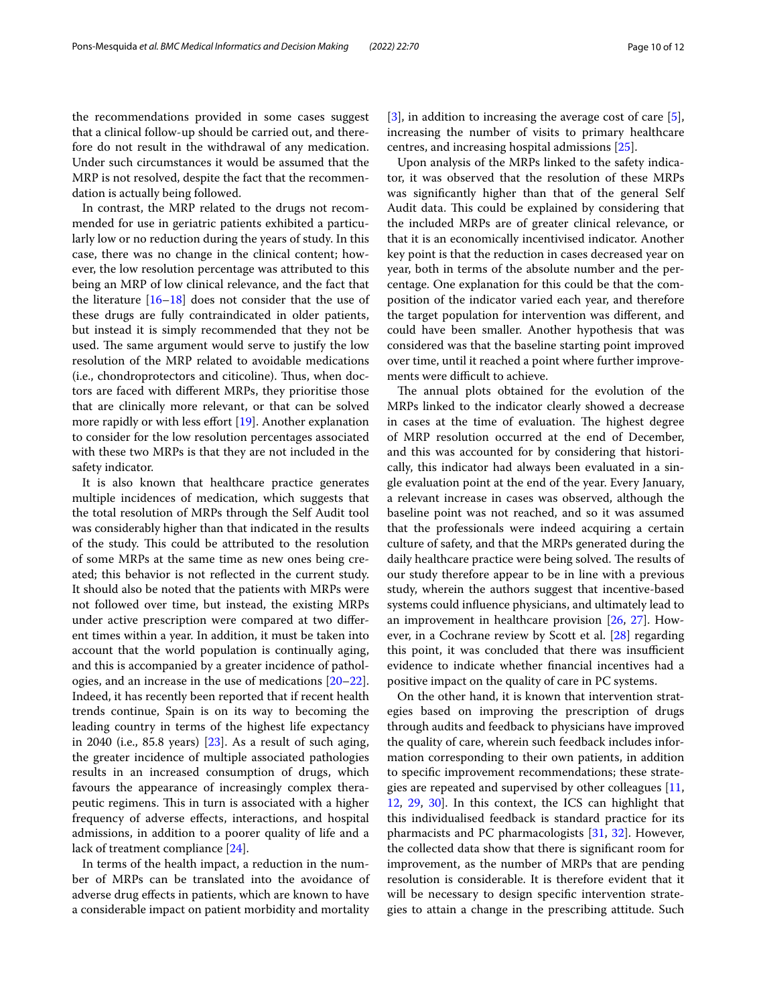the recommendations provided in some cases suggest that a clinical follow-up should be carried out, and therefore do not result in the withdrawal of any medication. Under such circumstances it would be assumed that the MRP is not resolved, despite the fact that the recommendation is actually being followed.

In contrast, the MRP related to the drugs not recommended for use in geriatric patients exhibited a particularly low or no reduction during the years of study. In this case, there was no change in the clinical content; however, the low resolution percentage was attributed to this being an MRP of low clinical relevance, and the fact that the literature [[16–](#page-11-7)[18](#page-11-8)] does not consider that the use of these drugs are fully contraindicated in older patients, but instead it is simply recommended that they not be used. The same argument would serve to justify the low resolution of the MRP related to avoidable medications (i.e., chondroprotectors and citicoline). Thus, when doctors are faced with diferent MRPs, they prioritise those that are clinically more relevant, or that can be solved more rapidly or with less effort [\[19](#page-11-9)]. Another explanation to consider for the low resolution percentages associated with these two MRPs is that they are not included in the safety indicator.

It is also known that healthcare practice generates multiple incidences of medication, which suggests that the total resolution of MRPs through the Self Audit tool was considerably higher than that indicated in the results of the study. This could be attributed to the resolution of some MRPs at the same time as new ones being created; this behavior is not refected in the current study. It should also be noted that the patients with MRPs were not followed over time, but instead, the existing MRPs under active prescription were compared at two diferent times within a year. In addition, it must be taken into account that the world population is continually aging, and this is accompanied by a greater incidence of pathologies, and an increase in the use of medications [[20](#page-11-10)[–22](#page-11-11)]. Indeed, it has recently been reported that if recent health trends continue, Spain is on its way to becoming the leading country in terms of the highest life expectancy in 2040 (i.e., 85.8 years) [[23\]](#page-11-12). As a result of such aging, the greater incidence of multiple associated pathologies results in an increased consumption of drugs, which favours the appearance of increasingly complex therapeutic regimens. This in turn is associated with a higher frequency of adverse efects, interactions, and hospital admissions, in addition to a poorer quality of life and a lack of treatment compliance [[24\]](#page-11-13).

In terms of the health impact, a reduction in the number of MRPs can be translated into the avoidance of adverse drug efects in patients, which are known to have a considerable impact on patient morbidity and mortality [[3\]](#page-10-2), in addition to increasing the average cost of care [\[5](#page-10-4)], increasing the number of visits to primary healthcare centres, and increasing hospital admissions [\[25](#page-11-14)].

Upon analysis of the MRPs linked to the safety indicator, it was observed that the resolution of these MRPs was signifcantly higher than that of the general Self Audit data. This could be explained by considering that the included MRPs are of greater clinical relevance, or that it is an economically incentivised indicator. Another key point is that the reduction in cases decreased year on year, both in terms of the absolute number and the percentage. One explanation for this could be that the composition of the indicator varied each year, and therefore the target population for intervention was diferent, and could have been smaller. Another hypothesis that was considered was that the baseline starting point improved over time, until it reached a point where further improvements were difficult to achieve.

The annual plots obtained for the evolution of the MRPs linked to the indicator clearly showed a decrease in cases at the time of evaluation. The highest degree of MRP resolution occurred at the end of December, and this was accounted for by considering that historically, this indicator had always been evaluated in a single evaluation point at the end of the year. Every January, a relevant increase in cases was observed, although the baseline point was not reached, and so it was assumed that the professionals were indeed acquiring a certain culture of safety, and that the MRPs generated during the daily healthcare practice were being solved. The results of our study therefore appear to be in line with a previous study, wherein the authors suggest that incentive-based systems could infuence physicians, and ultimately lead to an improvement in healthcare provision [[26](#page-11-15), [27](#page-11-16)]. However, in a Cochrane review by Scott et al. [\[28\]](#page-11-17) regarding this point, it was concluded that there was insufficient evidence to indicate whether fnancial incentives had a positive impact on the quality of care in PC systems.

On the other hand, it is known that intervention strategies based on improving the prescription of drugs through audits and feedback to physicians have improved the quality of care, wherein such feedback includes information corresponding to their own patients, in addition to specifc improvement recommendations; these strategies are repeated and supervised by other colleagues [[11](#page-11-2), [12,](#page-11-3) [29,](#page-11-18) [30](#page-11-19)]. In this context, the ICS can highlight that this individualised feedback is standard practice for its pharmacists and PC pharmacologists [\[31,](#page-11-20) [32](#page-11-21)]. However, the collected data show that there is signifcant room for improvement, as the number of MRPs that are pending resolution is considerable. It is therefore evident that it will be necessary to design specifc intervention strategies to attain a change in the prescribing attitude. Such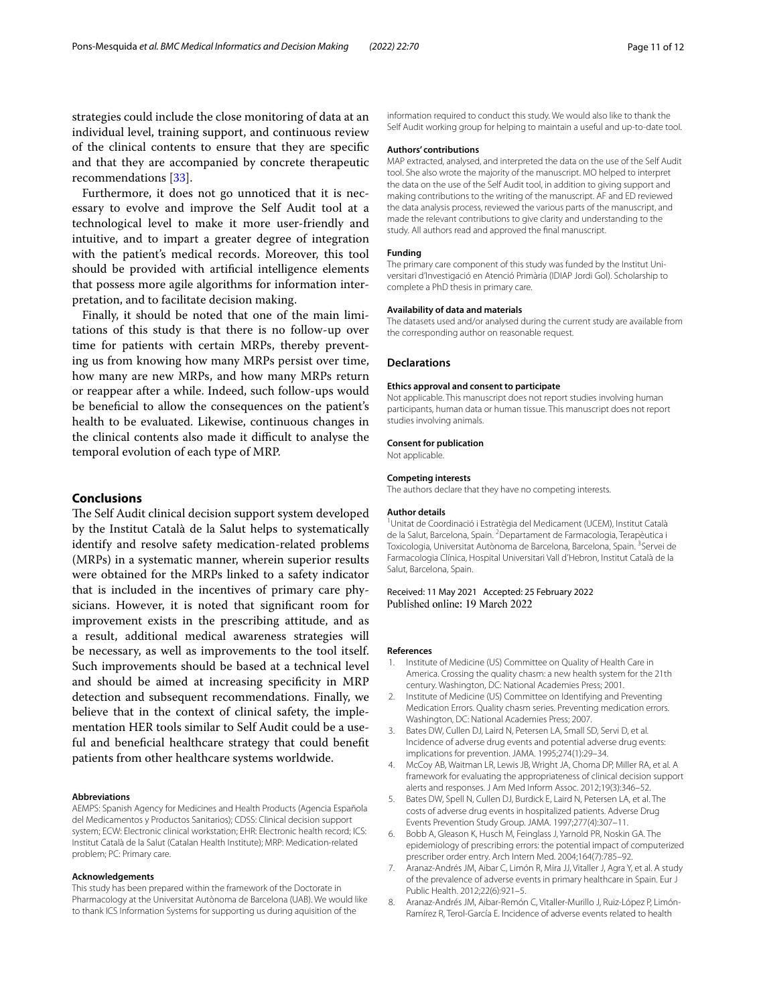strategies could include the close monitoring of data at an individual level, training support, and continuous review of the clinical contents to ensure that they are specifc and that they are accompanied by concrete therapeutic recommendations [\[33](#page-11-22)].

Furthermore, it does not go unnoticed that it is necessary to evolve and improve the Self Audit tool at a technological level to make it more user-friendly and intuitive, and to impart a greater degree of integration with the patient's medical records. Moreover, this tool should be provided with artifcial intelligence elements that possess more agile algorithms for information interpretation, and to facilitate decision making.

Finally, it should be noted that one of the main limitations of this study is that there is no follow-up over time for patients with certain MRPs, thereby preventing us from knowing how many MRPs persist over time, how many are new MRPs, and how many MRPs return or reappear after a while. Indeed, such follow-ups would be benefcial to allow the consequences on the patient's health to be evaluated. Likewise, continuous changes in the clinical contents also made it difficult to analyse the temporal evolution of each type of MRP.

#### **Conclusions**

The Self Audit clinical decision support system developed by the Institut Català de la Salut helps to systematically identify and resolve safety medication-related problems (MRPs) in a systematic manner, wherein superior results were obtained for the MRPs linked to a safety indicator that is included in the incentives of primary care physicians. However, it is noted that signifcant room for improvement exists in the prescribing attitude, and as a result, additional medical awareness strategies will be necessary, as well as improvements to the tool itself. Such improvements should be based at a technical level and should be aimed at increasing specifcity in MRP detection and subsequent recommendations. Finally, we believe that in the context of clinical safety, the implementation HER tools similar to Self Audit could be a useful and benefcial healthcare strategy that could beneft patients from other healthcare systems worldwide.

#### **Abbreviations**

AEMPS: Spanish Agency for Medicines and Health Products (Agencia Española del Medicamentos y Productos Sanitarios); CDSS: Clinical decision support system; ECW: Electronic clinical workstation; EHR: Electronic health record; ICS: Institut Català de la Salut (Catalan Health Institute); MRP: Medication-related problem; PC: Primary care.

#### **Acknowledgements**

This study has been prepared within the framework of the Doctorate in Pharmacology at the Universitat Autònoma de Barcelona (UAB). We would like to thank ICS Information Systems for supporting us during aquisition of the

information required to conduct this study. We would also like to thank the Self Audit working group for helping to maintain a useful and up-to-date tool.

#### **Authors' contributions**

MAP extracted, analysed, and interpreted the data on the use of the Self Audit tool. She also wrote the majority of the manuscript. MO helped to interpret the data on the use of the Self Audit tool, in addition to giving support and making contributions to the writing of the manuscript. AF and ED reviewed the data analysis process, reviewed the various parts of the manuscript, and made the relevant contributions to give clarity and understanding to the study. All authors read and approved the fnal manuscript.

#### **Funding**

The primary care component of this study was funded by the Institut Universitari d'Investigació en Atenció Primària (IDIAP Jordi Gol). Scholarship to complete a PhD thesis in primary care.

#### **Availability of data and materials**

The datasets used and/or analysed during the current study are available from the corresponding author on reasonable request.

#### **Declarations**

#### **Ethics approval and consent to participate**

Not applicable. This manuscript does not report studies involving human participants, human data or human tissue. This manuscript does not report studies involving animals.

#### **Consent for publication**

Not applicable.

#### **Competing interests**

The authors declare that they have no competing interests.

#### **Author details**

1 Unitat de Coordinació i Estratègia del Medicament (UCEM), Institut Català de la Salut, Barcelona, Spain. <sup>2</sup> Departament de Farmacologia, Terapèutica i Toxicologia, Universitat Autònoma de Barcelona, Barcelona, Spain. <sup>3</sup>Servei de Farmacologia Clínica, Hospital Universitari Vall d'Hebron, Institut Català de la Salut, Barcelona, Spain.

# Received: 11 May 2021 Accepted: 25 February 2022<br>Published online: 19 March 2022

#### **References**

- <span id="page-10-0"></span>Institute of Medicine (US) Committee on Quality of Health Care in America. Crossing the quality chasm: a new health system for the 21th century. Washington, DC: National Academies Press; 2001.
- <span id="page-10-1"></span>2. Institute of Medicine (US) Committee on Identifying and Preventing Medication Errors. Quality chasm series. Preventing medication errors. Washington, DC: National Academies Press; 2007.
- <span id="page-10-2"></span>3. Bates DW, Cullen DJ, Laird N, Petersen LA, Small SD, Servi D, et al. Incidence of adverse drug events and potential adverse drug events: implications for prevention. JAMA. 1995;274(1):29–34.
- <span id="page-10-3"></span>4. McCoy AB, Waitman LR, Lewis JB, Wright JA, Choma DP, Miller RA, et al. A framework for evaluating the appropriateness of clinical decision support alerts and responses. J Am Med Inform Assoc. 2012;19(3):346–52.
- <span id="page-10-4"></span>5. Bates DW, Spell N, Cullen DJ, Burdick E, Laird N, Petersen LA, et al. The costs of adverse drug events in hospitalized patients. Adverse Drug Events Prevention Study Group. JAMA. 1997;277(4):307–11.
- <span id="page-10-5"></span>6. Bobb A, Gleason K, Husch M, Feinglass J, Yarnold PR, Noskin GA. The epidemiology of prescribing errors: the potential impact of computerized prescriber order entry. Arch Intern Med. 2004;164(7):785–92.
- <span id="page-10-6"></span>7. Aranaz-Andrés JM, Aibar C, Limón R, Mira JJ, Vitaller J, Agra Y, et al. A study of the prevalence of adverse events in primary healthcare in Spain. Eur J Public Health. 2012;22(6):921–5.
- <span id="page-10-7"></span>8. Aranaz-Andrés JM, Aibar-Remón C, Vitaller-Murillo J, Ruiz-López P, Limón-Ramírez R, Terol-García E. Incidence of adverse events related to health